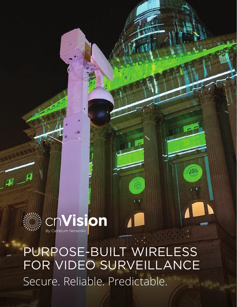

 $\overline{\mu}$   $\overline{\mu}$ 

cnVision

PURPOSE-BUILT WIRELESS FOR VIDEO SURVEILLANCE Secure. Reliable. Predictable.

御

Æ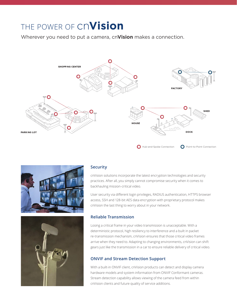# THE POWER OF cn**Vision**

Wherever you need to put a camera, cn**Vision** makes a connection.







# **Security**

cnVision solutions incorporate the latest encryption technologies and security practices. After all, you simply cannot compromise security when it comes to backhauling mission-critical video.

User security via different login privileges, RADIUS authentication, HTTPS browser access, SSH and 128-bit AES data encryption with proprietary protocol makes cnVision the last thing to worry about in your network.

# **Reliable Transmission**

Losing a critical frame in your video transmission is unacceptable. With a deterministic protocol, high resiliency to interference and a built in packet re-transmission mechanism, cnVision ensures that those critical video frames arrive when they need to. Adapting to changing environments, cnVision can shift gears just like the transmission in a car to ensure reliable delivery of critical video.

# **ONVIF and Stream Detection Support**

With a built-in ONVIF client, cnVision products can detect and display camera hardware models and system information from ONVIF Conformant cameras. Stream detection capability allows viewing of the camera feed from within cnVision clients and future quality of service additions.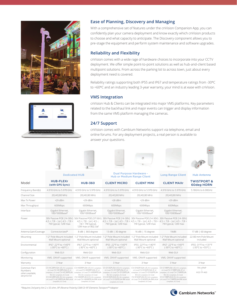



### **Ease of Planning, Discovery and Managing**

With a comprehensive set of features under the cnVision Companion App, you can confidently plan your camera deployment and know exactly which cnVision products to choose and what capacity to anticipate. The Discovery component allows you to pre-stage the equipment and perform system maintenance and software upgrades.

# **Reliability and Flexibility**

cnVision comes with a wide rage of hardware choices to incorporate into your CCTV deployment. We offer simple point-to-point solutions as well as hub-and-client based multipoint solutions. From across the parking lot to across town, just about every deployment need is covered.

Reliability ratings supporting both IP55 and IP67 and temperature ratings from -30°C to +60°C and an industry leading 3-year warranty, your mind is at ease with cnVision.

## **VMS Integration**

cnVision Hub & Clients can be integrated into major VMS platforms. Key parameters related to the backhaul link and major events can trigger and display information from the same VMS platform managing the cameras.

# **24/7 Support**

cnVision comes with Cambium Networks support via telephone, email and online forums. For any deployment projects, a real person is available to answer your questions.









| <b>Dedicated HUB</b> |  |
|----------------------|--|
|                      |  |

Dual Purpose Hardware -

Hub or Medium Range Client Long Range Client Hub Antenna

| Model                                                         | <b>HUB-FLEXr</b><br>(with GPS Sync)                                                                                                                 | <b>HUB-360</b>                                                                                                                                                                                                                                                                                                                                                                                                            | <b>CLIENT MICRO</b>                                                                                                                                                                 | <b>CLIENT MINI</b>                                                                                                                                                                                     | <b>CLIENT MAXr</b>                                                                                                                                                                  | <b>TWISTPORT &amp;</b><br><b>60deg HORN</b> |
|---------------------------------------------------------------|-----------------------------------------------------------------------------------------------------------------------------------------------------|---------------------------------------------------------------------------------------------------------------------------------------------------------------------------------------------------------------------------------------------------------------------------------------------------------------------------------------------------------------------------------------------------------------------------|-------------------------------------------------------------------------------------------------------------------------------------------------------------------------------------|--------------------------------------------------------------------------------------------------------------------------------------------------------------------------------------------------------|-------------------------------------------------------------------------------------------------------------------------------------------------------------------------------------|---------------------------------------------|
| Frequency Band(s)                                             | 4.910 GHz to 5.970 GHz                                                                                                                              | 4.910 GHz to 5.970 GHz                                                                                                                                                                                                                                                                                                                                                                                                    | 4.910 GHz to 5.970 GHz                                                                                                                                                              | 4.910 GHz to 5.970 GHz                                                                                                                                                                                 | 4.910 GHz to 5.970 GHz                                                                                                                                                              | 5.18GHz to 6.00GHz                          |
| Channel Size                                                  | 20   40   80 MHz                                                                                                                                    | 20 40 80 MHz                                                                                                                                                                                                                                                                                                                                                                                                              | 20   40   80 MHz                                                                                                                                                                    | 20   40   80 MHz                                                                                                                                                                                       | 20 40 80 MHz                                                                                                                                                                        |                                             |
| Max Tx Power                                                  | $+29$ dBm                                                                                                                                           | $+29$ dBm                                                                                                                                                                                                                                                                                                                                                                                                                 | $+28$ dBm                                                                                                                                                                           | $+29$ dBm                                                                                                                                                                                              | $+29$ dBm                                                                                                                                                                           |                                             |
| Max Throughput                                                | 600Mbps                                                                                                                                             | 600Mbps                                                                                                                                                                                                                                                                                                                                                                                                                   | 600Mbps                                                                                                                                                                             | 600Mbps                                                                                                                                                                                                | 600Mbps                                                                                                                                                                             |                                             |
| Interface                                                     | Gigabit Ethernet,<br>100/1000BaseT                                                                                                                  | Gigabit Ethernet,<br>100/1000BaseT                                                                                                                                                                                                                                                                                                                                                                                        | Gigabit Ethernet,<br>100/1000BaseT                                                                                                                                                  | Gigabit Ethernet,<br>100/1000BaseT                                                                                                                                                                     | Gigabit Ethernet,<br>100/1000BaseT                                                                                                                                                  |                                             |
| Power                                                         | $4,5$ +; 7,8 -   or  4,5 -; 7,8 +<br>7W typical, 12W max                                                                                            | 30V Passive POE (14-30V) 56V Passive POE (37-56V)<br>$4,5$ +; 7,8 -   or   4,5 -;<br>$7.8 + 7W$ typical,<br>12W max or 802.3af                                                                                                                                                                                                                                                                                            | 7W typical, 12W max                                                                                                                                                                 | 30V Passive POE (14-30V) 30V Passive POE (14-30V) 30V Passive POE (14-30V)<br>$4,5$ +; 7,8 -   or  4,5 -; 7,8 + 4,5 +; 7,8 -   or  4,5 -; 7,8 + 4,5 +; 7,8 -   or  4,5 -; 7,8 +<br>7W typical, 12W max | 7W typical, 12W max                                                                                                                                                                 |                                             |
| Antenna Gain/Coverage                                         | Connectorized*                                                                                                                                      | 8 dBi   360 degree                                                                                                                                                                                                                                                                                                                                                                                                        | 13 dBi   30 degree                                                                                                                                                                  | 16 dBi   15 degree                                                                                                                                                                                     | 19dBi                                                                                                                                                                               | 17 dBi   60 degree                          |
| Mounting                                                      | 1-2" Pole Mount included<br>Wall Mount optional                                                                                                     | 1-2" Pole Mount included<br>Wall Mount optional                                                                                                                                                                                                                                                                                                                                                                           | 1-2" Pole Mount included<br>Wall Mount optional                                                                                                                                     | 1-2" Pole Mount included<br>Wall Mount optional                                                                                                                                                        | 1-2" Pole Mount included<br>Wall Mount optional                                                                                                                                     | 22-80 mm Pole Mount<br>included             |
| Environmental                                                 | IP67-22°F to +140°F<br>$(-30^{\circ}$ C to $+60^{\circ}$ C)                                                                                         | IP67-22°F to +140°F<br>$(-30^{\circ}$ C to $+60^{\circ}$ C)                                                                                                                                                                                                                                                                                                                                                               | IP55-22°F to +140°F<br>$(-30^{\circ}$ C to $+60^{\circ}$ C)                                                                                                                         | IP55-22°F to +140°F<br>$(-30^{\circ}$ C to $+60^{\circ}$ C)                                                                                                                                            | IP67-22°F to +140°F<br>$(-30^{\circ}$ C to $+60^{\circ}$ C)                                                                                                                         | IP55-31°F to +131°F<br>(-35°C to +55°C)     |
| Configuration                                                 | Web GUL                                                                                                                                             | Web GUL                                                                                                                                                                                                                                                                                                                                                                                                                   | Web GUI                                                                                                                                                                             | Web GUL                                                                                                                                                                                                | Web GUI                                                                                                                                                                             |                                             |
| Monitoring                                                    | VMS. ONVIF supported                                                                                                                                | VMS. ONVIF supported                                                                                                                                                                                                                                                                                                                                                                                                      | VMS. ONVIF supported                                                                                                                                                                | VMS. ONVIF supported                                                                                                                                                                                   | VMS. ONVIF supported                                                                                                                                                                |                                             |
| Warranty                                                      | 3 Year                                                                                                                                              | 3 Year                                                                                                                                                                                                                                                                                                                                                                                                                    | 3 Year                                                                                                                                                                              | 3 Year                                                                                                                                                                                                 | 3 Year                                                                                                                                                                              | 3 Year                                      |
| Common Part<br>Numbers<br>others available.<br>see price list | CV-HC2RPUSA-US (FCC compliant,<br>US Cord) CV-HC2RPUSA-IC (IC<br>EU (EU compliant, EU Cord)<br>CV-HC2RPUKA-EU (EU compliant,<br>compliant, EU Cord) | CV-H00RPUSA-US (FCC compliant,<br>US Cord) CV-HOORPUSA-IC (IC<br>compliant, US Cord) CV-HC2RPEUA- compliant, US Cord) CV-HOORPEUA- compliant, US Cord) CV-D13SPEUA- compliant, US Cord) CV-D16SPEUA- compliant, US Cord) CV-D16SPEUA- compliant, US Cord) CV-D16SPEUA-<br>EU (EU compliant, EU Cord)<br>CV-H00RPUKA-EU (EU compliant.<br>UK Cord) CV-HC2RPEUA-RW (ROW UK Cord) CV-H00RPEUA-RW (ROW<br>compliant, EU Cord) | CV-D13SPUSA-US (FCC compliant,<br>US Cord) CV-D13SPUSA-IC (IC<br>EU (EU compliant, EU Cord)<br>CV-D13SPUKA-EU (EU compliant.<br>UK Cord) CV-D13SPEUA-RW (ROW<br>compliant, EU Cord) | CV-D16SPUSA-US (FCC compliant,<br>US Cord) CV-D16SPUSA-IC (IC<br>EU (EU compliant, EU Cord)<br>CV-D16SPUKA-EU (EU compliant.<br>UK Cord) CV-D16SPEUA-RW (ROW<br>compliant, EU Cord)                    | CV-C19RPUSA-US (FCC compliant,<br>US Cord) CV-C19RPUSA-IC (IC<br>EU (EU compliant, EU Cord)<br>CV-C19RPUKA-EU (EU compliant.<br>UK Cord) CV-C19RPEUA-RW (ROW<br>compliant, EU Cord) | TPA-ePMP<br><b>HG3-TP-A60</b>               |

*\*Requires 3rd party Ant 2 x 50 ohm, RP (Reverse Polarity) SMA Or RF Elements Twistport™ Adaptor*



**△ Cambium Networks**™